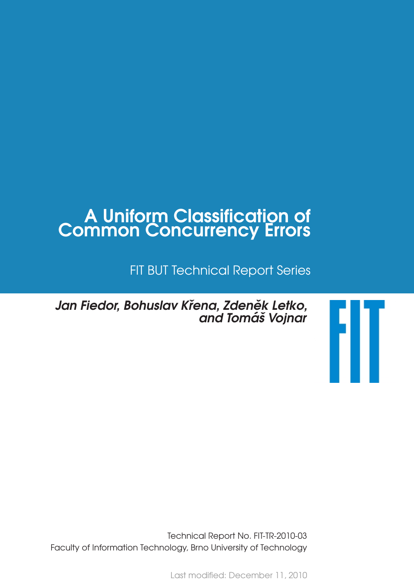# A Uniform Classification of Common Concurrency Errors

FIT BUT Technical Report Series

H

Jan Fiedor, Bohuslav Křena, Zdeněk Letko, and Tomáš Vojnar

Technical Report No. FIT-TR-2010-03 Faculty of Information Technology, Brno University of Technology

Last modified: December 11, 2010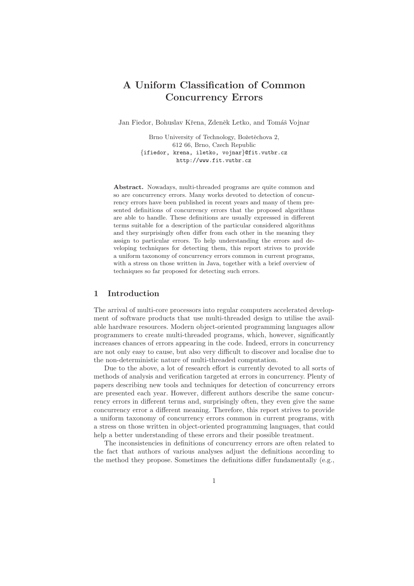# A Uniform Classification of Common Concurrency Errors

Jan Fiedor, Bohuslav Křena, Zdeněk Letko, and Tomáš Vojnar

Brno University of Technology, Božetěchova 2, 612 66, Brno, Czech Republic {ifiedor, krena, iletko, vojnar}@fit.vutbr.cz http://www.fit.vutbr.cz

Abstract. Nowadays, multi-threaded programs are quite common and so are concurrency errors. Many works devoted to detection of concurrency errors have been published in recent years and many of them presented definitions of concurrency errors that the proposed algorithms are able to handle. These definitions are usually expressed in different terms suitable for a description of the particular considered algorithms and they surprisingly often differ from each other in the meaning they assign to particular errors. To help understanding the errors and developing techniques for detecting them, this report strives to provide a uniform taxonomy of concurrency errors common in current programs, with a stress on those written in Java, together with a brief overview of techniques so far proposed for detecting such errors.

# 1 Introduction

The arrival of multi-core processors into regular computers accelerated development of software products that use multi-threaded design to utilise the available hardware resources. Modern object-oriented programming languages allow programmers to create multi-threaded programs, which, however, significantly increases chances of errors appearing in the code. Indeed, errors in concurrency are not only easy to cause, but also very difficult to discover and localise due to the non-deterministic nature of multi-threaded computation.

Due to the above, a lot of research effort is currently devoted to all sorts of methods of analysis and verification targeted at errors in concurrency. Plenty of papers describing new tools and techniques for detection of concurrency errors are presented each year. However, different authors describe the same concurrency errors in different terms and, surprisingly often, they even give the same concurrency error a different meaning. Therefore, this report strives to provide a uniform taxonomy of concurrency errors common in current programs, with a stress on those written in object-oriented programming languages, that could help a better understanding of these errors and their possible treatment.

The inconsistencies in definitions of concurrency errors are often related to the fact that authors of various analyses adjust the definitions according to the method they propose. Sometimes the definitions differ fundamentally (e.g.,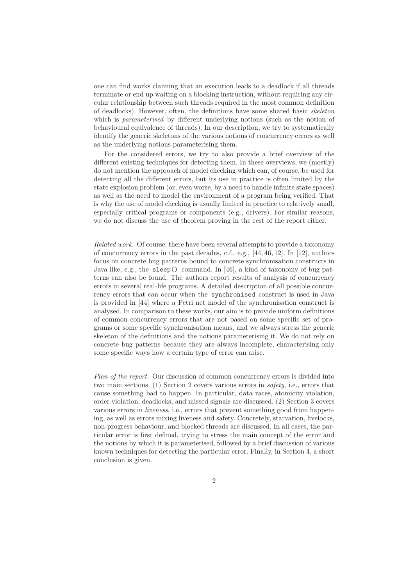one can find works claiming that an execution leads to a deadlock if all threads terminate or end up waiting on a blocking instruction, without requiring any circular relationship between such threads required in the most common definition of deadlocks). However, often, the definitions have some shared basic skeleton which is *parameterised* by different underlying notions (such as the notion of behavioural equivalence of threads). In our description, we try to systematically identify the generic skeletons of the various notions of concurrency errors as well as the underlying notions parameterising them.

For the considered errors, we try to also provide a brief overview of the different existing techniques for detecting them. In these overviews, we (mostly) do not mention the approach of model checking which can, of course, be used for detecting all the different errors, but its use in practice is often limited by the state explosion problem (or, even worse, by a need to handle infinite state spaces) as well as the need to model the environment of a program being verified. That is why the use of model checking is usually limited in practice to relatively small, especially critical programs or components (e.g., drivers). For similar reasons, we do not discuss the use of theorem proving in the rest of the report either.

Related work. Of course, there have been several attempts to provide a taxonomy of concurrency errors in the past decades, c.f., e.g.,  $[44, 46, 12]$ . In [12], authors focus on concrete bug patterns bound to concrete synchronisation constructs in Java like, e.g., the sleep() command. In [46], a kind of taxonomy of bug patterns can also be found. The authors report results of analysis of concurrency errors in several real-life programs. A detailed description of all possible concurrency errors that can occur when the synchronised construct is used in Java is provided in [44] where a Petri net model of the synchronisation construct is analysed. In comparison to these works, our aim is to provide uniform definitions of common concurrency errors that are not based on some specific set of programs or some specific synchronisation means, and we always stress the generic skeleton of the definitions and the notions parameterising it. We do not rely on concrete bug patterns because they are always incomplete, characterising only some specific ways how a certain type of error can arise.

Plan of the report. Our discussion of common concurrency errors is divided into two main sections. (1) Section 2 covers various errors in safety, i.e., errors that cause something bad to happen. In particular, data races, atomicity violation, order violation, deadlocks, and missed signals are discussed. (2) Section 3 covers various errors in liveness, i.e., errors that prevent something good from happening, as well as errors mixing liveness and safety. Concretely, starvation, livelocks, non-progress behaviour, and blocked threads are discussed. In all cases, the particular error is first defined, trying to stress the main concept of the error and the notions by which it is parameterised, followed by a brief discussion of various known techniques for detecting the particular error. Finally, in Section 4, a short conclusion is given.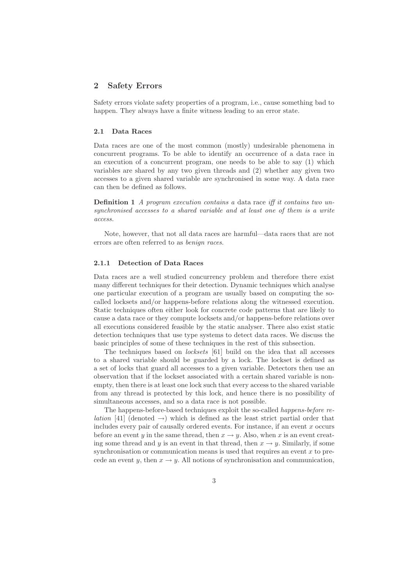# 2 Safety Errors

Safety errors violate safety properties of a program, i.e., cause something bad to happen. They always have a finite witness leading to an error state.

#### 2.1 Data Races

Data races are one of the most common (mostly) undesirable phenomena in concurrent programs. To be able to identify an occurrence of a data race in an execution of a concurrent program, one needs to be able to say (1) which variables are shared by any two given threads and (2) whether any given two accesses to a given shared variable are synchronised in some way. A data race can then be defined as follows.

**Definition 1** A program execution contains a data race iff it contains two unsynchronised accesses to a shared variable and at least one of them is a write access.

Note, however, that not all data races are harmful—data races that are not errors are often referred to as benign races.

#### 2.1.1 Detection of Data Races

Data races are a well studied concurrency problem and therefore there exist many different techniques for their detection. Dynamic techniques which analyse one particular execution of a program are usually based on computing the socalled locksets and/or happens-before relations along the witnessed execution. Static techniques often either look for concrete code patterns that are likely to cause a data race or they compute locksets and/or happens-before relations over all executions considered feasible by the static analyser. There also exist static detection techniques that use type systems to detect data races. We discuss the basic principles of some of these techniques in the rest of this subsection.

The techniques based on locksets [61] build on the idea that all accesses to a shared variable should be guarded by a lock. The lockset is defined as a set of locks that guard all accesses to a given variable. Detectors then use an observation that if the lockset associated with a certain shared variable is nonempty, then there is at least one lock such that every access to the shared variable from any thread is protected by this lock, and hence there is no possibility of simultaneous accesses, and so a data race is not possible.

The happens-before-based techniques exploit the so-called happens-before re*lation* [41] (denoted  $\rightarrow$ ) which is defined as the least strict partial order that includes every pair of causally ordered events. For instance, if an event  $x$  occurs before an event y in the same thread, then  $x \to y$ . Also, when x is an event creating some thread and y is an event in that thread, then  $x \to y$ . Similarly, if some synchronisation or communication means is used that requires an event  $x$  to precede an event y, then  $x \to y$ . All notions of synchronisation and communication,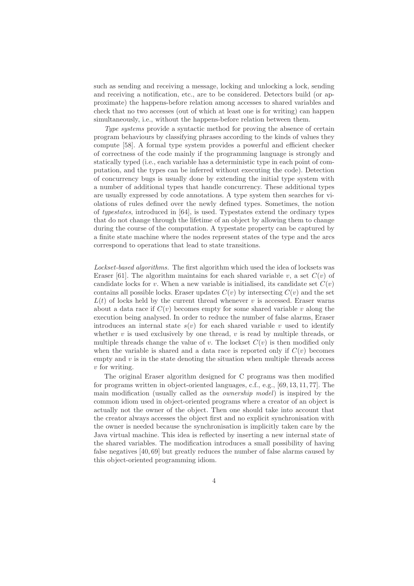such as sending and receiving a message, locking and unlocking a lock, sending and receiving a notification, etc., are to be considered. Detectors build (or approximate) the happens-before relation among accesses to shared variables and check that no two accesses (out of which at least one is for writing) can happen simultaneously, i.e., without the happens-before relation between them.

Type systems provide a syntactic method for proving the absence of certain program behaviours by classifying phrases according to the kinds of values they compute [58]. A formal type system provides a powerful and efficient checker of correctness of the code mainly if the programming language is strongly and statically typed (i.e., each variable has a deterministic type in each point of computation, and the types can be inferred without executing the code). Detection of concurrency bugs is usually done by extending the initial type system with a number of additional types that handle concurrency. These additional types are usually expressed by code annotations. A type system then searches for violations of rules defined over the newly defined types. Sometimes, the notion of typestates, introduced in [64], is used. Typestates extend the ordinary types that do not change through the lifetime of an object by allowing them to change during the course of the computation. A typestate property can be captured by a finite state machine where the nodes represent states of the type and the arcs correspond to operations that lead to state transitions.

Lockset-based algorithms. The first algorithm which used the idea of locksets was Eraser [61]. The algorithm maintains for each shared variable v, a set  $C(v)$  of candidate locks for v. When a new variable is initialised, its candidate set  $C(v)$ contains all possible locks. Eraser updates  $C(v)$  by intersecting  $C(v)$  and the set  $L(t)$  of locks held by the current thread whenever v is accessed. Eraser warns about a data race if  $C(v)$  becomes empty for some shared variable v along the execution being analysed. In order to reduce the number of false alarms, Eraser introduces an internal state  $s(v)$  for each shared variable v used to identify whether  $v$  is used exclusively by one thread,  $v$  is read by multiple threads, or multiple threads change the value of v. The lockset  $C(v)$  is then modified only when the variable is shared and a data race is reported only if  $C(v)$  becomes empty and  $v$  is in the state denoting the situation when multiple threads access  $v$  for writing.

The original Eraser algorithm designed for C programs was then modified for programs written in object-oriented languages, c.f., e.g., [69, 13, 11, 77]. The main modification (usually called as the ownership model) is inspired by the common idiom used in object-oriented programs where a creator of an object is actually not the owner of the object. Then one should take into account that the creator always accesses the object first and no explicit synchronisation with the owner is needed because the synchronisation is implicitly taken care by the Java virtual machine. This idea is reflected by inserting a new internal state of the shared variables. The modification introduces a small possibility of having false negatives [40, 69] but greatly reduces the number of false alarms caused by this object-oriented programming idiom.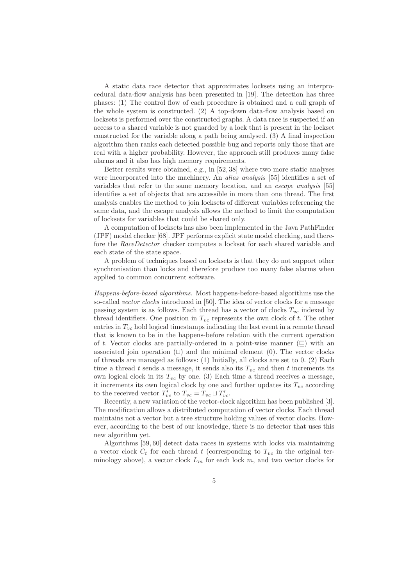A static data race detector that approximates locksets using an interprocedural data-flow analysis has been presented in [19]. The detection has three phases: (1) The control flow of each procedure is obtained and a call graph of the whole system is constructed. (2) A top-down data-flow analysis based on locksets is performed over the constructed graphs. A data race is suspected if an access to a shared variable is not guarded by a lock that is present in the lockset constructed for the variable along a path being analysed. (3) A final inspection algorithm then ranks each detected possible bug and reports only those that are real with a higher probability. However, the approach still produces many false alarms and it also has high memory requirements.

Better results were obtained, e.g., in [52, 38] where two more static analyses were incorporated into the machinery. An *alias analysis* [55] identifies a set of variables that refer to the same memory location, and an escape analysis [55] identifies a set of objects that are accessible in more than one thread. The first analysis enables the method to join locksets of different variables referencing the same data, and the escape analysis allows the method to limit the computation of locksets for variables that could be shared only.

A computation of locksets has also been implemented in the Java PathFinder (JPF) model checker [68]. JPF performs explicit state model checking, and therefore the RaceDetector checker computes a lockset for each shared variable and each state of the state space.

A problem of techniques based on locksets is that they do not support other synchronisation than locks and therefore produce too many false alarms when applied to common concurrent software.

Happens-before-based algorithms. Most happens-before-based algorithms use the so-called *vector clocks* introduced in [50]. The idea of vector clocks for a message passing system is as follows. Each thread has a vector of clocks  $T_{vc}$  indexed by thread identifiers. One position in  $T_{vc}$  represents the own clock of t. The other entries in  $T_{vc}$  hold logical timestamps indicating the last event in a remote thread that is known to be in the happens-before relation with the current operation of t. Vector clocks are partially-ordered in a point-wise manner  $(\sqsubset)$  with an associated join operation  $(\sqcup)$  and the minimal element (0). The vector clocks of threads are managed as follows: (1) Initially, all clocks are set to 0. (2) Each time a thread t sends a message, it sends also its  $T_{vc}$  and then t increments its own logical clock in its  $T_{vc}$  by one. (3) Each time a thread receives a message, it increments its own logical clock by one and further updates its  $T_{vc}$  according to the received vector  $T'_{vc}$  to  $T_{vc} = T_{vc} \sqcup T'_{vc}$ .

Recently, a new variation of the vector-clock algorithm has been published [3]. The modification allows a distributed computation of vector clocks. Each thread maintains not a vector but a tree structure holding values of vector clocks. However, according to the best of our knowledge, there is no detector that uses this new algorithm yet.

Algorithms [59, 60] detect data races in systems with locks via maintaining a vector clock  $C_t$  for each thread t (corresponding to  $T_{vc}$  in the original terminology above), a vector clock  $L_m$  for each lock m, and two vector clocks for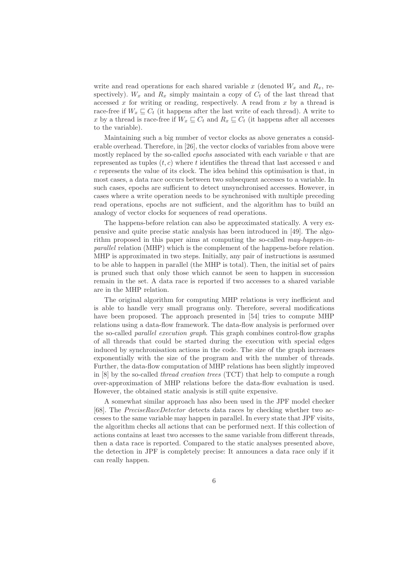write and read operations for each shared variable x (denoted  $W_x$  and  $R_x$ , respectively).  $W_x$  and  $R_x$  simply maintain a copy of  $C_t$  of the last thread that accessed  $x$  for writing or reading, respectively. A read from  $x$  by a thread is race-free if  $W_x \n\sqsubset C_t$  (it happens after the last write of each thread). A write to x by a thread is race-free if  $W_x \sqsubseteq C_t$  and  $R_x \sqsubseteq C_t$  (it happens after all accesses to the variable).

Maintaining such a big number of vector clocks as above generates a considerable overhead. Therefore, in [26], the vector clocks of variables from above were mostly replaced by the so-called *epochs* associated with each variable  $v$  that are represented as tuples  $(t, c)$  where t identifies the thread that last accessed v and c represents the value of its clock. The idea behind this optimisation is that, in most cases, a data race occurs between two subsequent accesses to a variable. In such cases, epochs are sufficient to detect unsynchronised accesses. However, in cases where a write operation needs to be synchronised with multiple preceding read operations, epochs are not sufficient, and the algorithm has to build an analogy of vector clocks for sequences of read operations.

The happens-before relation can also be approximated statically. A very expensive and quite precise static analysis has been introduced in [49]. The algorithm proposed in this paper aims at computing the so-called may-happen-inparallel relation (MHP) which is the complement of the happens-before relation. MHP is approximated in two steps. Initially, any pair of instructions is assumed to be able to happen in parallel (the MHP is total). Then, the initial set of pairs is pruned such that only those which cannot be seen to happen in succession remain in the set. A data race is reported if two accesses to a shared variable are in the MHP relation.

The original algorithm for computing MHP relations is very inefficient and is able to handle very small programs only. Therefore, several modifications have been proposed. The approach presented in [54] tries to compute MHP relations using a data-flow framework. The data-flow analysis is performed over the so-called parallel execution graph. This graph combines control-flow graphs of all threads that could be started during the execution with special edges induced by synchronisation actions in the code. The size of the graph increases exponentially with the size of the program and with the number of threads. Further, the data-flow computation of MHP relations has been slightly improved in [8] by the so-called thread creation trees (TCT) that help to compute a rough over-approximation of MHP relations before the data-flow evaluation is used. However, the obtained static analysis is still quite expensive.

A somewhat similar approach has also been used in the JPF model checker [68]. The PreciseRaceDetector detects data races by checking whether two accesses to the same variable may happen in parallel. In every state that JPF visits, the algorithm checks all actions that can be performed next. If this collection of actions contains at least two accesses to the same variable from different threads, then a data race is reported. Compared to the static analyses presented above, the detection in JPF is completely precise: It announces a data race only if it can really happen.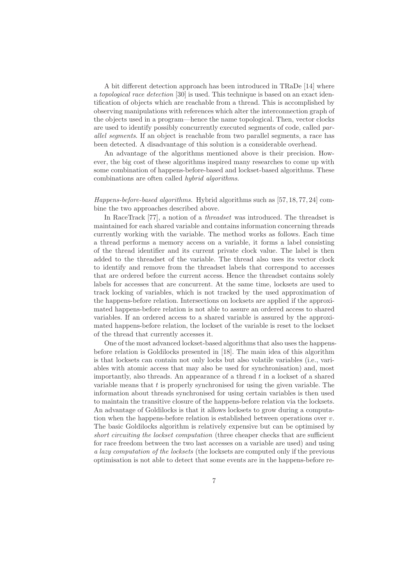A bit different detection approach has been introduced in TRaDe [14] where a topological race detection [30] is used. This technique is based on an exact identification of objects which are reachable from a thread. This is accomplished by observing manipulations with references which alter the interconnection graph of the objects used in a program—hence the name topological. Then, vector clocks are used to identify possibly concurrently executed segments of code, called parallel segments. If an object is reachable from two parallel segments, a race has been detected. A disadvantage of this solution is a considerable overhead.

An advantage of the algorithms mentioned above is their precision. However, the big cost of these algorithms inspired many researches to come up with some combination of happens-before-based and lockset-based algorithms. These combinations are often called hybrid algorithms.

Happens-before-based algorithms. Hybrid algorithms such as [57, 18, 77, 24] combine the two approaches described above.

In RaceTrack [77], a notion of a threadset was introduced. The threadset is maintained for each shared variable and contains information concerning threads currently working with the variable. The method works as follows. Each time a thread performs a memory access on a variable, it forms a label consisting of the thread identifier and its current private clock value. The label is then added to the threadset of the variable. The thread also uses its vector clock to identify and remove from the threadset labels that correspond to accesses that are ordered before the current access. Hence the threadset contains solely labels for accesses that are concurrent. At the same time, locksets are used to track locking of variables, which is not tracked by the used approximation of the happens-before relation. Intersections on locksets are applied if the approximated happens-before relation is not able to assure an ordered access to shared variables. If an ordered access to a shared variable is assured by the approximated happens-before relation, the lockset of the variable is reset to the lockset of the thread that currently accesses it.

One of the most advanced lockset-based algorithms that also uses the happensbefore relation is Goldilocks presented in [18]. The main idea of this algorithm is that locksets can contain not only locks but also volatile variables (i.e., variables with atomic access that may also be used for synchronisation) and, most importantly, also threads. An appearance of a thread  $t$  in a lockset of a shared variable means that  $t$  is properly synchronised for using the given variable. The information about threads synchronised for using certain variables is then used to maintain the transitive closure of the happens-before relation via the locksets. An advantage of Goldilocks is that it allows locksets to grow during a computation when the happens-before relation is established between operations over  $v$ . The basic Goldilocks algorithm is relatively expensive but can be optimised by short circuiting the lockset computation (three cheaper checks that are sufficient for race freedom between the two last accesses on a variable are used) and using a lazy computation of the locksets (the locksets are computed only if the previous optimisation is not able to detect that some events are in the happens-before re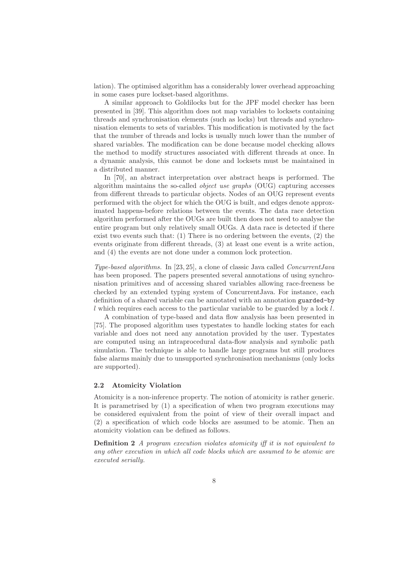lation). The optimised algorithm has a considerably lower overhead approaching in some cases pure lockset-based algorithms.

A similar approach to Goldilocks but for the JPF model checker has been presented in [39]. This algorithm does not map variables to locksets containing threads and synchronisation elements (such as locks) but threads and synchronisation elements to sets of variables. This modification is motivated by the fact that the number of threads and locks is usually much lower than the number of shared variables. The modification can be done because model checking allows the method to modify structures associated with different threads at once. In a dynamic analysis, this cannot be done and locksets must be maintained in a distributed manner.

In [70], an abstract interpretation over abstract heaps is performed. The algorithm maintains the so-called object use graphs (OUG) capturing accesses from different threads to particular objects. Nodes of an OUG represent events performed with the object for which the OUG is built, and edges denote approximated happens-before relations between the events. The data race detection algorithm performed after the OUGs are built then does not need to analyse the entire program but only relatively small OUGs. A data race is detected if there exist two events such that:  $(1)$  There is no ordering between the events,  $(2)$  the events originate from different threads, (3) at least one event is a write action, and (4) the events are not done under a common lock protection.

Type-based algorithms. In [23, 25], a clone of classic Java called ConcurrentJava has been proposed. The papers presented several annotations of using synchronisation primitives and of accessing shared variables allowing race-freeness be checked by an extended typing system of ConcurrentJava. For instance, each definition of a shared variable can be annotated with an annotation guarded-by  $l$  which requires each access to the particular variable to be guarded by a lock  $l$ .

A combination of type-based and data flow analysis has been presented in [75]. The proposed algorithm uses typestates to handle locking states for each variable and does not need any annotation provided by the user. Typestates are computed using an intraprocedural data-flow analysis and symbolic path simulation. The technique is able to handle large programs but still produces false alarms mainly due to unsupported synchronisation mechanisms (only locks are supported).

# 2.2 Atomicity Violation

Atomicity is a non-inference property. The notion of atomicity is rather generic. It is parametrised by (1) a specification of when two program executions may be considered equivalent from the point of view of their overall impact and (2) a specification of which code blocks are assumed to be atomic. Then an atomicity violation can be defined as follows.

**Definition 2** A program execution violates atomicity iff it is not equivalent to any other execution in which all code blocks which are assumed to be atomic are executed serially.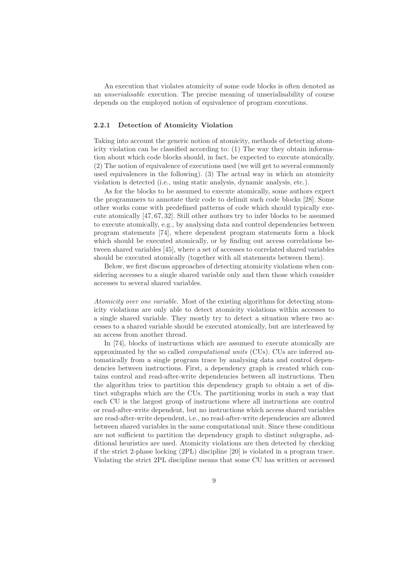An execution that violates atomicity of some code blocks is often denoted as an unserialisable execution. The precise meaning of unserialisability of course depends on the employed notion of equivalence of program executions.

# 2.2.1 Detection of Atomicity Violation

Taking into account the generic notion of atomicity, methods of detecting atomicity violation can be classified according to: (1) The way they obtain information about which code blocks should, in fact, be expected to execute atomically. (2) The notion of equivalence of executions used (we will get to several commonly used equivalences in the following). (3) The actual way in which an atomicity violation is detected (i.e., using static analysis, dynamic analysis, etc.).

As for the blocks to be assumed to execute atomically, some authors expect the programmers to annotate their code to delimit such code blocks [28]. Some other works come with predefined patterns of code which should typically execute atomically [47, 67, 32]. Still other authors try to infer blocks to be assumed to execute atomically, e.g., by analysing data and control dependencies between program statements [74], where dependent program statements form a block which should be executed atomically, or by finding out access correlations between shared variables [45], where a set of accesses to correlated shared variables should be executed atomically (together with all statements between them).

Below, we first discuss approaches of detecting atomicity violations when considering accesses to a single shared variable only and then those which consider accesses to several shared variables.

Atomicity over one variable. Most of the existing algorithms for detecting atomicity violations are only able to detect atomicity violations within accesses to a single shared variable. They mostly try to detect a situation where two accesses to a shared variable should be executed atomically, but are interleaved by an access from another thread.

In [74], blocks of instructions which are assumed to execute atomically are approximated by the so called computational units (CUs). CUs are inferred automatically from a single program trace by analysing data and control dependencies between instructions. First, a dependency graph is created which contains control and read-after-write dependencies between all instructions. Then the algorithm tries to partition this dependency graph to obtain a set of distinct subgraphs which are the CUs. The partitioning works in such a way that each CU is the largest group of instructions where all instructions are control or read-after-write dependent, but no instructions which access shared variables are read-after-write dependent, i.e., no read-after-write dependencies are allowed between shared variables in the same computational unit. Since these conditions are not sufficient to partition the dependency graph to distinct subgraphs, additional heuristics are used. Atomicity violations are then detected by checking if the strict 2-phase locking (2PL) discipline [20] is violated in a program trace. Violating the strict 2PL discipline means that some CU has written or accessed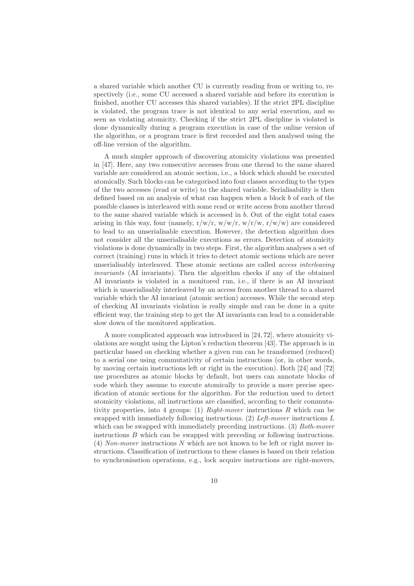a shared variable which another CU is currently reading from or writing to, respectively (i.e., some CU accessed a shared variable and before its execution is finished, another CU accesses this shared variables). If the strict 2PL discipline is violated, the program trace is not identical to any serial execution, and so seen as violating atomicity. Checking if the strict 2PL discipline is violated is done dynamically during a program execution in case of the online version of the algorithm, or a program trace is first recorded and then analysed using the off-line version of the algorithm.

A much simpler approach of discovering atomicity violations was presented in [47]. Here, any two consecutive accesses from one thread to the same shared variable are considered an atomic section, i.e., a block which should be executed atomically. Such blocks can be categorised into four classes according to the types of the two accesses (read or write) to the shared variable. Serialisability is then defined based on an analysis of what can happen when a block b of each of the possible classes is interleaved with some read or write access from another thread to the same shared variable which is accessed in b. Out of the eight total cases arising in this way, four (namely,  $r/w/r$ ,  $w/r$ ,  $w/r$ ,  $w/r/w$ ,  $r/w/w$ ) are considered to lead to an unserialisable execution. However, the detection algorithm does not consider all the unserialisable executions as errors. Detection of atomicity violations is done dynamically in two steps. First, the algorithm analyses a set of correct (training) runs in which it tries to detect atomic sections which are never unserialisably interleaved. These atomic sections are called access interleaving invariants (AI invariants). Then the algorithm checks if any of the obtained AI invariants is violated in a monitored run, i.e., if there is an AI invariant which is unserialisably interleaved by an access from another thread to a shared variable which the AI invariant (atomic section) accesses. While the second step of checking AI invariants violation is really simple and can be done in a quite efficient way, the training step to get the AI invariants can lead to a considerable slow down of the monitored application.

A more complicated approach was introduced in [24, 72], where atomicity violations are sought using the Lipton's reduction theorem [43]. The approach is in particular based on checking whether a given run can be transformed (reduced) to a serial one using commutativity of certain instructions (or, in other words, by moving certain instructions left or right in the execution). Both [24] and [72] use procedures as atomic blocks by default, but users can annotate blocks of code which they assume to execute atomically to provide a more precise specification of atomic sections for the algorithm. For the reduction used to detect atomicity violations, all instructions are classified, according to their commutativity properties, into 4 groups: (1) Right-mover instructions R which can be swapped with immediately following instructions. (2) Left-mover instructions  $L$ which can be swapped with immediately preceding instructions. (3) Both-mover instructions B which can be swapped with preceding or following instructions. (4) Non-mover instructions N which are not known to be left or right mover instructions. Classification of instructions to these classes is based on their relation to synchronisation operations, e.g., lock acquire instructions are right-movers,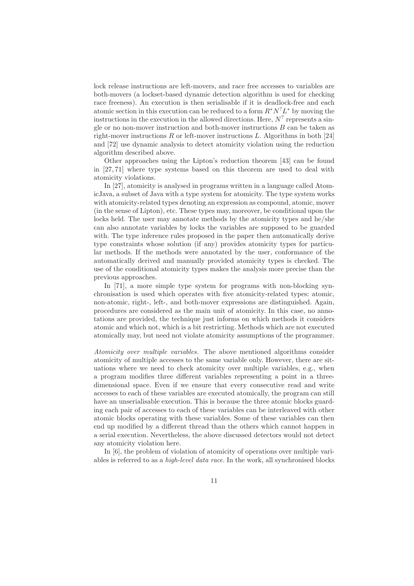lock release instructions are left-movers, and race free accesses to variables are both-movers (a lockset-based dynamic detection algorithm is used for checking race freeness). An execution is then serialisable if it is deadlock-free and each atomic section in this execution can be reduced to a form  $R^*N^?L^*$  by moving the instructions in the execution in the allowed directions. Here,  $N^?$  represents a single or no non-mover instruction and both-mover instructions  $B$  can be taken as right-mover instructions R or left-mover instructions L. Algorithms in both [24] and [72] use dynamic analysis to detect atomicity violation using the reduction algorithm described above.

Other approaches using the Lipton's reduction theorem [43] can be found in [27, 71] where type systems based on this theorem are used to deal with atomicity violations.

In [27], atomicity is analysed in programs written in a language called AtomicJava, a subset of Java with a type system for atomicity. The type system works with atomicity-related types denoting an expression as compound, atomic, mover (in the sense of Lipton), etc. These types may, moreover, be conditional upon the locks held. The user may annotate methods by the atomicity types and he/she can also annotate variables by locks the variables are supposed to be guarded with. The type inference rules proposed in the paper then automatically derive type constraints whose solution (if any) provides atomicity types for particular methods. If the methods were annotated by the user, conformance of the automatically derived and manually provided atomicity types is checked. The use of the conditional atomicity types makes the analysis more precise than the previous approaches.

In [71], a more simple type system for programs with non-blocking synchronisation is used which operates with five atomicity-related types: atomic, non-atomic, right-, left-, and both-mover expressions are distinguished. Again, procedures are considered as the main unit of atomicity. In this case, no annotations are provided, the technique just informs on which methods it considers atomic and which not, which is a bit restricting. Methods which are not executed atomically may, but need not violate atomicity assumptions of the programmer.

Atomicity over multiple variables. The above mentioned algorithms consider atomicity of multiple accesses to the same variable only. However, there are situations where we need to check atomicity over multiple variables, e.g., when a program modifies three different variables representing a point in a threedimensional space. Even if we ensure that every consecutive read and write accesses to each of these variables are executed atomically, the program can still have an unserialisable execution. This is because the three atomic blocks guarding each pair of accesses to each of these variables can be interleaved with other atomic blocks operating with these variables. Some of these variables can then end up modified by a different thread than the others which cannot happen in a serial execution. Nevertheless, the above discussed detectors would not detect any atomicity violation here.

In [6], the problem of violation of atomicity of operations over multiple variables is referred to as a high-level data race. In the work, all synchronised blocks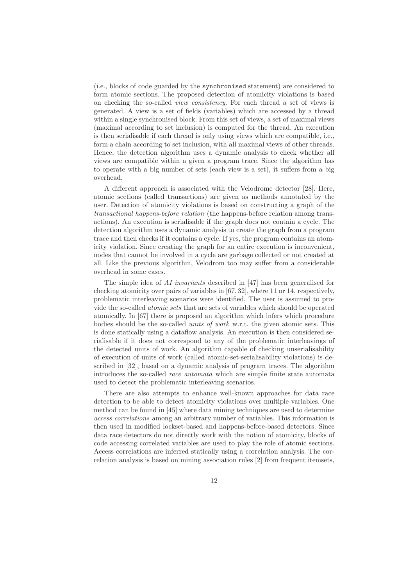(i.e., blocks of code guarded by the synchronised statement) are considered to form atomic sections. The proposed detection of atomicity violations is based on checking the so-called view consistency. For each thread a set of views is generated. A view is a set of fields (variables) which are accessed by a thread within a single synchronised block. From this set of views, a set of maximal views (maximal according to set inclusion) is computed for the thread. An execution is then serialisable if each thread is only using views which are compatible, i.e., form a chain according to set inclusion, with all maximal views of other threads. Hence, the detection algorithm uses a dynamic analysis to check whether all views are compatible within a given a program trace. Since the algorithm has to operate with a big number of sets (each view is a set), it suffers from a big overhead.

A different approach is associated with the Velodrome detector [28]. Here, atomic sections (called transactions) are given as methods annotated by the user. Detection of atomicity violations is based on constructing a graph of the transactional happens-before relation (the happens-before relation among transactions). An execution is serialisable if the graph does not contain a cycle. The detection algorithm uses a dynamic analysis to create the graph from a program trace and then checks if it contains a cycle. If yes, the program contains an atomicity violation. Since creating the graph for an entire execution is inconvenient, nodes that cannot be involved in a cycle are garbage collected or not created at all. Like the previous algorithm, Velodrom too may suffer from a considerable overhead in some cases.

The simple idea of AI invariants described in [47] has been generalised for checking atomicity over pairs of variables in [67, 32], where 11 or 14, respectively, problematic interleaving scenarios were identified. The user is assumed to provide the so-called atomic sets that are sets of variables which should be operated atomically. In [67] there is proposed an algorithm which infers which procedure bodies should be the so-called units of work w.r.t. the given atomic sets. This is done statically using a dataflow analysis. An execution is then considered serialisable if it does not correspond to any of the problematic interleavings of the detected units of work. An algorithm capable of checking unserialisability of execution of units of work (called atomic-set-serialisability violations) is described in [32], based on a dynamic analysis of program traces. The algorithm introduces the so-called race automata which are simple finite state automata used to detect the problematic interleaving scenarios.

There are also attempts to enhance well-known approaches for data race detection to be able to detect atomicity violations over multiple variables. One method can be found in [45] where data mining techniques are used to determine access correlations among an arbitrary number of variables. This information is then used in modified lockset-based and happens-before-based detectors. Since data race detectors do not directly work with the notion of atomicity, blocks of code accessing correlated variables are used to play the role of atomic sections. Access correlations are inferred statically using a correlation analysis. The correlation analysis is based on mining association rules [2] from frequent itemsets,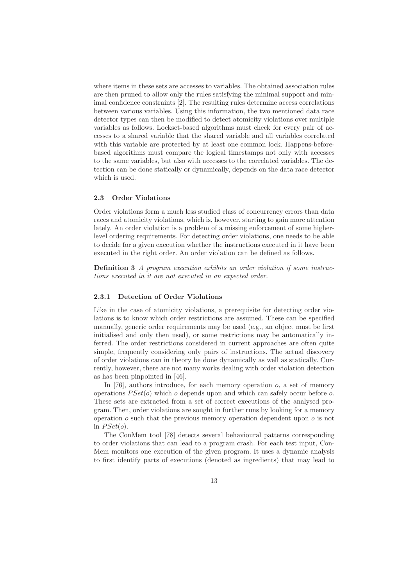where items in these sets are accesses to variables. The obtained association rules are then pruned to allow only the rules satisfying the minimal support and minimal confidence constraints [2]. The resulting rules determine access correlations between various variables. Using this information, the two mentioned data race detector types can then be modified to detect atomicity violations over multiple variables as follows. Lockset-based algorithms must check for every pair of accesses to a shared variable that the shared variable and all variables correlated with this variable are protected by at least one common lock. Happens-beforebased algorithms must compare the logical timestamps not only with accesses to the same variables, but also with accesses to the correlated variables. The detection can be done statically or dynamically, depends on the data race detector which is used.

# 2.3 Order Violations

Order violations form a much less studied class of concurrency errors than data races and atomicity violations, which is, however, starting to gain more attention lately. An order violation is a problem of a missing enforcement of some higherlevel ordering requirements. For detecting order violations, one needs to be able to decide for a given execution whether the instructions executed in it have been executed in the right order. An order violation can be defined as follows.

Definition 3 A program execution exhibits an order violation if some instructions executed in it are not executed in an expected order.

#### 2.3.1 Detection of Order Violations

Like in the case of atomicity violations, a prerequisite for detecting order violations is to know which order restrictions are assumed. These can be specified manually, generic order requirements may be used (e.g., an object must be first initialised and only then used), or some restrictions may be automatically inferred. The order restrictions considered in current approaches are often quite simple, frequently considering only pairs of instructions. The actual discovery of order violations can in theory be done dynamically as well as statically. Currently, however, there are not many works dealing with order violation detection as has been pinpointed in [46].

In [76], authors introduce, for each memory operation  $o$ , a set of memory operations  $PSet(o)$  which  $o$  depends upon and which can safely occur before  $o$ . These sets are extracted from a set of correct executions of the analysed program. Then, order violations are sought in further runs by looking for a memory operation  $o$  such that the previous memory operation dependent upon  $o$  is not in  $PSet(o)$ .

The ConMem tool [78] detects several behavioural patterns corresponding to order violations that can lead to a program crash. For each test input, Con-Mem monitors one execution of the given program. It uses a dynamic analysis to first identify parts of executions (denoted as ingredients) that may lead to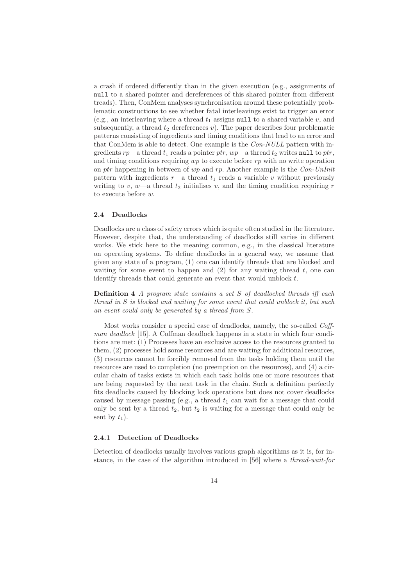a crash if ordered differently than in the given execution (e.g., assignments of null to a shared pointer and dereferences of this shared pointer from different treads). Then, ConMem analyses synchronisation around these potentially problematic constructions to see whether fatal interleavings exist to trigger an error (e.g., an interleaving where a thread  $t_1$  assigns null to a shared variable v, and subsequently, a thread  $t_2$  dereferences v). The paper describes four problematic patterns consisting of ingredients and timing conditions that lead to an error and that ConMem is able to detect. One example is the Con-NULL pattern with ingredients  $rp$ —a thread  $t_1$  reads a pointer ptr,  $wp$ —a thread  $t_2$  writes null to ptr, and timing conditions requiring  $wp$  to execute before  $rp$  with no write operation on ptr happening in between of wp and rp. Another example is the  $Con$ -UnInit pattern with ingredients  $r$ —a thread  $t_1$  reads a variable v without previously writing to  $v, w$ —a thread  $t_2$  initialises  $v,$  and the timing condition requiring  $r$ to execute before w.

#### 2.4 Deadlocks

Deadlocks are a class of safety errors which is quite often studied in the literature. However, despite that, the understanding of deadlocks still varies in different works. We stick here to the meaning common, e.g., in the classical literature on operating systems. To define deadlocks in a general way, we assume that given any state of a program, (1) one can identify threads that are blocked and waiting for some event to happen and  $(2)$  for any waiting thread t, one can identify threads that could generate an event that would unblock t.

**Definition 4** A program state contains a set  $S$  of deadlocked threads iff each thread in S is blocked and waiting for some event that could unblock it, but such an event could only be generated by a thread from S.

Most works consider a special case of deadlocks, namely, the so-called Coffman deadlock [15]. A Coffman deadlock happens in a state in which four conditions are met: (1) Processes have an exclusive access to the resources granted to them, (2) processes hold some resources and are waiting for additional resources, (3) resources cannot be forcibly removed from the tasks holding them until the resources are used to completion (no preemption on the resources), and (4) a circular chain of tasks exists in which each task holds one or more resources that are being requested by the next task in the chain. Such a definition perfectly fits deadlocks caused by blocking lock operations but does not cover deadlocks caused by message passing (e.g., a thread  $t_1$  can wait for a message that could only be sent by a thread  $t_2$ , but  $t_2$  is waiting for a message that could only be sent by  $t_1$ ).

# 2.4.1 Detection of Deadlocks

Detection of deadlocks usually involves various graph algorithms as it is, for instance, in the case of the algorithm introduced in [56] where a thread-wait-for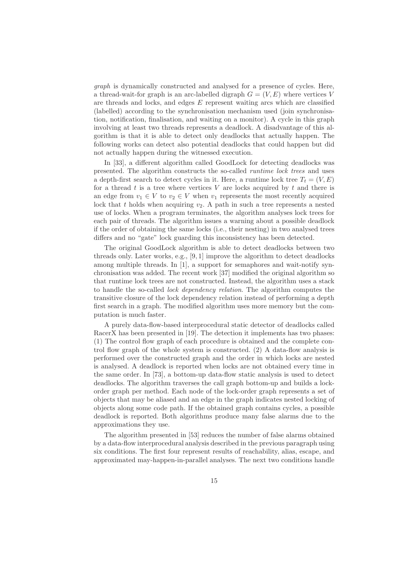graph is dynamically constructed and analysed for a presence of cycles. Here, a thread-wait-for graph is an arc-labelled digraph  $G = (V, E)$  where vertices V are threads and locks, and edges  $E$  represent waiting arcs which are classified (labelled) according to the synchronisation mechanism used (join synchronisation, notification, finalisation, and waiting on a monitor). A cycle in this graph involving at least two threads represents a deadlock. A disadvantage of this algorithm is that it is able to detect only deadlocks that actually happen. The following works can detect also potential deadlocks that could happen but did not actually happen during the witnessed execution.

In [33], a different algorithm called GoodLock for detecting deadlocks was presented. The algorithm constructs the so-called runtime lock trees and uses a depth-first search to detect cycles in it. Here, a runtime lock tree  $T_t = (V, E)$ for a thread  $t$  is a tree where vertices  $V$  are locks acquired by  $t$  and there is an edge from  $v_1 \in V$  to  $v_2 \in V$  when  $v_1$  represents the most recently acquired lock that t holds when acquiring  $v_2$ . A path in such a tree represents a nested use of locks. When a program terminates, the algorithm analyses lock trees for each pair of threads. The algorithm issues a warning about a possible deadlock if the order of obtaining the same locks (i.e., their nesting) in two analysed trees differs and no "gate" lock guarding this inconsistency has been detected.

The original GoodLock algorithm is able to detect deadlocks between two threads only. Later works, e.g., [9, 1] improve the algorithm to detect deadlocks among multiple threads. In [1], a support for semaphores and wait-notify synchronisation was added. The recent work [37] modified the original algorithm so that runtime lock trees are not constructed. Instead, the algorithm uses a stack to handle the so-called lock dependency relation. The algorithm computes the transitive closure of the lock dependency relation instead of performing a depth first search in a graph. The modified algorithm uses more memory but the computation is much faster.

A purely data-flow-based interprocedural static detector of deadlocks called RacerX has been presented in [19]. The detection it implements has two phases: (1) The control flow graph of each procedure is obtained and the complete control flow graph of the whole system is constructed. (2) A data-flow analysis is performed over the constructed graph and the order in which locks are nested is analysed. A deadlock is reported when locks are not obtained every time in the same order. In [73], a bottom-up data-flow static analysis is used to detect deadlocks. The algorithm traverses the call graph bottom-up and builds a lockorder graph per method. Each node of the lock-order graph represents a set of objects that may be aliased and an edge in the graph indicates nested locking of objects along some code path. If the obtained graph contains cycles, a possible deadlock is reported. Both algorithms produce many false alarms due to the approximations they use.

The algorithm presented in [53] reduces the number of false alarms obtained by a data-flow interprocedural analysis described in the previous paragraph using six conditions. The first four represent results of reachability, alias, escape, and approximated may-happen-in-parallel analyses. The next two conditions handle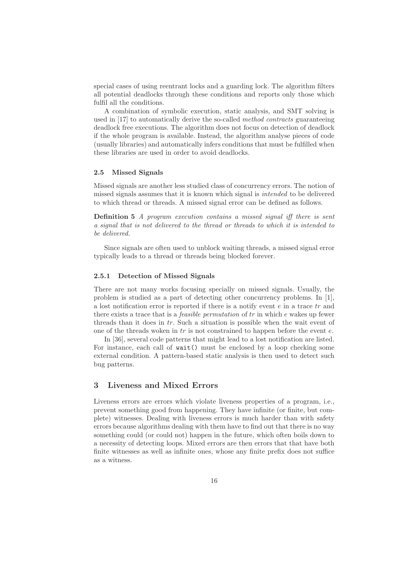special cases of using reentrant locks and a guarding lock. The algorithm filters all potential deadlocks through these conditions and reports only those which fulfil all the conditions.

A combination of symbolic execution, static analysis, and SMT solving is used in [17] to automatically derive the so-called *method contracts* guaranteeing deadlock free executions. The algorithm does not focus on detection of deadlock if the whole program is available. Instead, the algorithm analyse pieces of code (usually libraries) and automatically infers conditions that must be fulfilled when these libraries are used in order to avoid deadlocks.

#### 2.5 Missed Signals

Missed signals are another less studied class of concurrency errors. The notion of missed signals assumes that it is known which signal is intended to be delivered to which thread or threads. A missed signal error can be defined as follows.

Definition 5 A program execution contains a missed signal iff there is sent a signal that is not delivered to the thread or threads to which it is intended to be delivered.

Since signals are often used to unblock waiting threads, a missed signal error typically leads to a thread or threads being blocked forever.

#### 2.5.1 Detection of Missed Signals

There are not many works focusing specially on missed signals. Usually, the problem is studied as a part of detecting other concurrency problems. In [1], a lost notification error is reported if there is a notify event  $e$  in a trace  $tr$  and there exists a trace that is a feasible permutation of tr in which e wakes up fewer threads than it does in tr. Such a situation is possible when the wait event of one of the threads woken in  $tr$  is not constrained to happen before the event  $e$ .

In [36], several code patterns that might lead to a lost notification are listed. For instance, each call of wait() must be enclosed by a loop checking some external condition. A pattern-based static analysis is then used to detect such bug patterns.

# 3 Liveness and Mixed Errors

Liveness errors are errors which violate liveness properties of a program, i.e., prevent something good from happening. They have infinite (or finite, but complete) witnesses. Dealing with liveness errors is much harder than with safety errors because algorithms dealing with them have to find out that there is no way something could (or could not) happen in the future, which often boils down to a necessity of detecting loops. Mixed errors are then errors that that have both finite witnesses as well as infinite ones, whose any finite prefix does not suffice as a witness.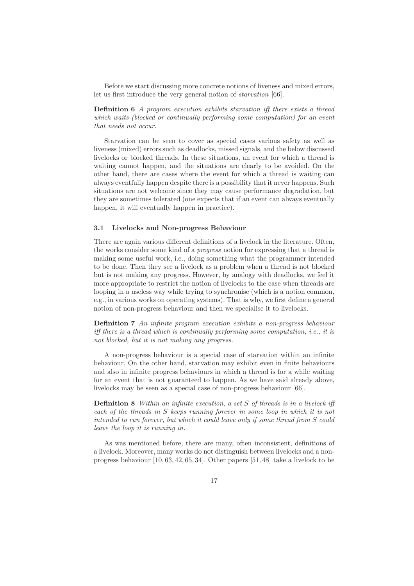Before we start discussing more concrete notions of liveness and mixed errors, let us first introduce the very general notion of starvation [66].

**Definition 6** A program execution exhibits starvation iff there exists a thread which waits (blocked or continually performing some computation) for an event that needs not occur.

Starvation can be seen to cover as special cases various safety as well as liveness (mixed) errors such as deadlocks, missed signals, and the below discussed livelocks or blocked threads. In these situations, an event for which a thread is waiting cannot happen, and the situations are clearly to be avoided. On the other hand, there are cases where the event for which a thread is waiting can always eventfully happen despite there is a possibility that it never happens. Such situations are not welcome since they may cause performance degradation, but they are sometimes tolerated (one expects that if an event can always eventually happen, it will eventually happen in practice).

#### 3.1 Livelocks and Non-progress Behaviour

There are again various different definitions of a livelock in the literature. Often, the works consider some kind of a progress notion for expressing that a thread is making some useful work, i.e., doing something what the programmer intended to be done. Then they see a livelock as a problem when a thread is not blocked but is not making any progress. However, by analogy with deadlocks, we feel it more appropriate to restrict the notion of livelocks to the case when threads are looping in a useless way while trying to synchronise (which is a notion common, e.g., in various works on operating systems). That is why, we first define a general notion of non-progress behaviour and then we specialise it to livelocks.

Definition 7 An infinite program execution exhibits a non-progress behaviour iff there is a thread which is continually performing some computation, i.e., it is not blocked, but it is not making any progress.

A non-progress behaviour is a special case of starvation within an infinite behaviour. On the other hand, starvation may exhibit even in finite behaviours and also in infinite progress behaviours in which a thread is for a while waiting for an event that is not guaranteed to happen. As we have said already above, livelocks may be seen as a special case of non-progress behaviour [66].

**Definition 8** Within an infinite execution, a set S of threads is in a livelock iff each of the threads in S keeps running forever in some loop in which it is not intended to run forever, but which it could leave only if some thread from S could leave the loop it is running in.

As was mentioned before, there are many, often inconsistent, definitions of a livelock. Moreover, many works do not distinguish between livelocks and a nonprogress behaviour [10, 63, 42, 65, 34]. Other papers [51, 48] take a livelock to be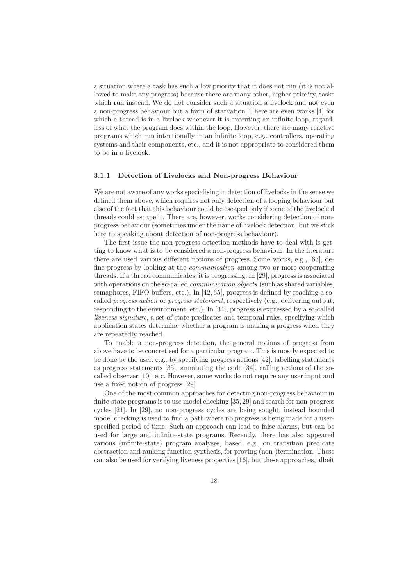a situation where a task has such a low priority that it does not run (it is not allowed to make any progress) because there are many other, higher priority, tasks which run instead. We do not consider such a situation a livelock and not even a non-progress behaviour but a form of starvation. There are even works [4] for which a thread is in a livelock whenever it is executing an infinite loop, regardless of what the program does within the loop. However, there are many reactive programs which run intentionally in an infinite loop, e.g., controllers, operating systems and their components, etc., and it is not appropriate to considered them to be in a livelock.

#### 3.1.1 Detection of Livelocks and Non-progress Behaviour

We are not aware of any works specialising in detection of livelocks in the sense we defined them above, which requires not only detection of a looping behaviour but also of the fact that this behaviour could be escaped only if some of the livelocked threads could escape it. There are, however, works considering detection of nonprogress behaviour (sometimes under the name of livelock detection, but we stick here to speaking about detection of non-progress behaviour).

The first issue the non-progress detection methods have to deal with is getting to know what is to be considered a non-progress behaviour. In the literature there are used various different notions of progress. Some works, e.g., [63], define progress by looking at the communication among two or more cooperating threads. If a thread communicates, it is progressing. In [29], progress is associated with operations on the so-called *communication objects* (such as shared variables, semaphores, FIFO buffers, etc.). In [42, 65], progress is defined by reaching a socalled progress action or progress statement, respectively (e.g., delivering output, responding to the environment, etc.). In [34], progress is expressed by a so-called liveness signature, a set of state predicates and temporal rules, specifying which application states determine whether a program is making a progress when they are repeatedly reached.

To enable a non-progress detection, the general notions of progress from above have to be concretised for a particular program. This is mostly expected to be done by the user, e.g., by specifying progress actions [42], labelling statements as progress statements [35], annotating the code [34], calling actions of the socalled observer [10], etc. However, some works do not require any user input and use a fixed notion of progress [29].

One of the most common approaches for detecting non-progress behaviour in finite-state programs is to use model checking [35, 29] and search for non-progress cycles [21]. In [29], no non-progress cycles are being sought, instead bounded model checking is used to find a path where no progress is being made for a userspecified period of time. Such an approach can lead to false alarms, but can be used for large and infinite-state programs. Recently, there has also appeared various (infinite-state) program analyses, based, e.g., on transition predicate abstraction and ranking function synthesis, for proving (non-)termination. These can also be used for verifying liveness properties [16], but these approaches, albeit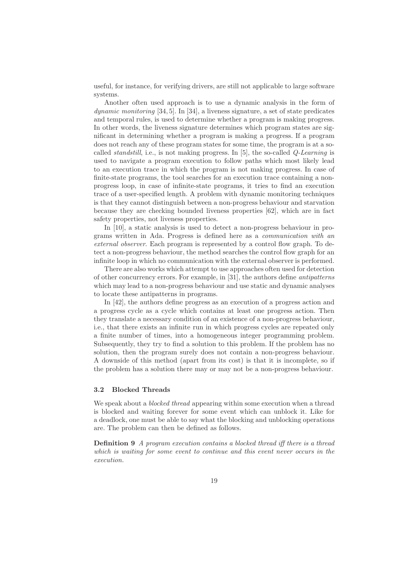useful, for instance, for verifying drivers, are still not applicable to large software systems.

Another often used approach is to use a dynamic analysis in the form of dynamic monitoring  $[34, 5]$ . In  $[34]$ , a liveness signature, a set of state predicates and temporal rules, is used to determine whether a program is making progress. In other words, the liveness signature determines which program states are significant in determining whether a program is making a progress. If a program does not reach any of these program states for some time, the program is at a socalled *standstill*, i.e., is not making progress. In [5], the so-called  $Q$ -Learning is used to navigate a program execution to follow paths which most likely lead to an execution trace in which the program is not making progress. In case of finite-state programs, the tool searches for an execution trace containing a nonprogress loop, in case of infinite-state programs, it tries to find an execution trace of a user-specified length. A problem with dynamic monitoring techniques is that they cannot distinguish between a non-progress behaviour and starvation because they are checking bounded liveness properties [62], which are in fact safety properties, not liveness properties.

In [10], a static analysis is used to detect a non-progress behaviour in programs written in Ada. Progress is defined here as a communication with an external observer. Each program is represented by a control flow graph. To detect a non-progress behaviour, the method searches the control flow graph for an infinite loop in which no communication with the external observer is performed.

There are also works which attempt to use approaches often used for detection of other concurrency errors. For example, in [31], the authors define antipatterns which may lead to a non-progress behaviour and use static and dynamic analyses to locate these antipatterns in programs.

In [42], the authors define progress as an execution of a progress action and a progress cycle as a cycle which contains at least one progress action. Then they translate a necessary condition of an existence of a non-progress behaviour, i.e., that there exists an infinite run in which progress cycles are repeated only a finite number of times, into a homogeneous integer programming problem. Subsequently, they try to find a solution to this problem. If the problem has no solution, then the program surely does not contain a non-progress behaviour. A downside of this method (apart from its cost) is that it is incomplete, so if the problem has a solution there may or may not be a non-progress behaviour.

#### 3.2 Blocked Threads

We speak about a *blocked thread* appearing within some execution when a thread is blocked and waiting forever for some event which can unblock it. Like for a deadlock, one must be able to say what the blocking and unblocking operations are. The problem can then be defined as follows.

Definition 9 A program execution contains a blocked thread iff there is a thread which is waiting for some event to continue and this event never occurs in the execution.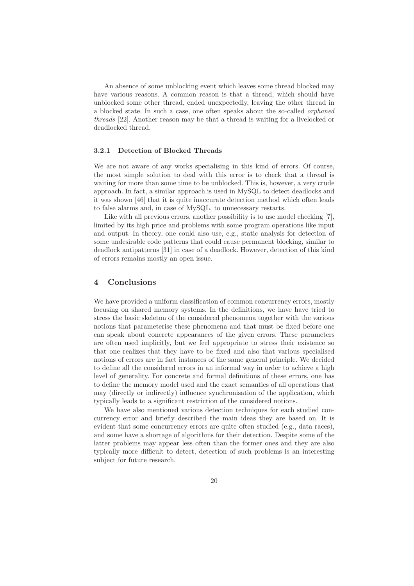An absence of some unblocking event which leaves some thread blocked may have various reasons. A common reason is that a thread, which should have unblocked some other thread, ended unexpectedly, leaving the other thread in a blocked state. In such a case, one often speaks about the so-called orphaned threads [22]. Another reason may be that a thread is waiting for a livelocked or deadlocked thread.

### 3.2.1 Detection of Blocked Threads

We are not aware of any works specialising in this kind of errors. Of course, the most simple solution to deal with this error is to check that a thread is waiting for more than some time to be unblocked. This is, however, a very crude approach. In fact, a similar approach is used in MySQL to detect deadlocks and it was shown [46] that it is quite inaccurate detection method which often leads to false alarms and, in case of MySQL, to unnecessary restarts.

Like with all previous errors, another possibility is to use model checking [7], limited by its high price and problems with some program operations like input and output. In theory, one could also use, e.g., static analysis for detection of some undesirable code patterns that could cause permanent blocking, similar to deadlock antipatterns [31] in case of a deadlock. However, detection of this kind of errors remains mostly an open issue.

# 4 Conclusions

We have provided a uniform classification of common concurrency errors, mostly focusing on shared memory systems. In the definitions, we have have tried to stress the basic skeleton of the considered phenomena together with the various notions that parameterise these phenomena and that must be fixed before one can speak about concrete appearances of the given errors. These parameters are often used implicitly, but we feel appropriate to stress their existence so that one realizes that they have to be fixed and also that various specialised notions of errors are in fact instances of the same general principle. We decided to define all the considered errors in an informal way in order to achieve a high level of generality. For concrete and formal definitions of these errors, one has to define the memory model used and the exact semantics of all operations that may (directly or indirectly) influence synchronisation of the application, which typically leads to a significant restriction of the considered notions.

We have also mentioned various detection techniques for each studied concurrency error and briefly described the main ideas they are based on. It is evident that some concurrency errors are quite often studied (e.g., data races), and some have a shortage of algorithms for their detection. Despite some of the latter problems may appear less often than the former ones and they are also typically more difficult to detect, detection of such problems is an interesting subject for future research.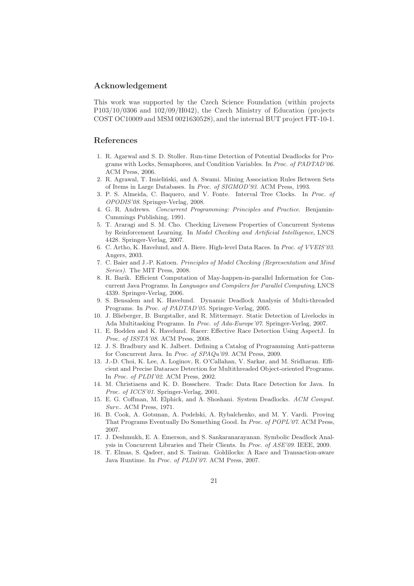#### Acknowledgement

This work was supported by the Czech Science Foundation (within projects P103/10/0306 and 102/09/H042), the Czech Ministry of Education (projects COST OC10009 and MSM 0021630528), and the internal BUT project FIT-10-1.

# References

- 1. R. Agarwal and S. D. Stoller. Run-time Detection of Potential Deadlocks for Programs with Locks, Semaphores, and Condition Variables. In Proc. of PADTAD'06. ACM Press, 2006.
- 2. R. Agrawal, T. Imieliński, and A. Swami. Mining Association Rules Between Sets of Items in Large Databases. In Proc. of SIGMOD'93. ACM Press, 1993.
- 3. P. S. Almeida, C. Baquero, and V. Fonte. Interval Tree Clocks. In Proc. of OPODIS'08. Springer-Verlag, 2008.
- 4. G. R. Andrews. Concurrent Programming: Principles and Practice. Benjamin-Cummings Publishing, 1991.
- 5. T. Araragi and S. M. Cho. Checking Liveness Properties of Concurrent Systems by Reinforcement Learning. In Model Checking and Artificial Intelligence, LNCS 4428. Springer-Verlag, 2007.
- 6. C. Artho, K. Havelund, and A. Biere. High-level Data Races. In Proc. of VVEIS'03. Angers, 2003.
- 7. C. Baier and J.-P. Katoen. Principles of Model Checking (Representation and Mind Series). The MIT Press, 2008.
- 8. R. Barik. Efficient Computation of May-happen-in-parallel Information for Concurrent Java Programs. In Languages and Compilers for Parallel Computing, LNCS 4339. Springer-Verlag, 2006.
- 9. S. Bensalem and K. Havelund. Dynamic Deadlock Analysis of Multi-threaded Programs. In Proc. of PADTAD'05. Springer-Verlag, 2005.
- 10. J. Blieberger, B. Burgstaller, and R. Mittermayr. Static Detection of Livelocks in Ada Multitasking Programs. In Proc. of Ada-Europe'07. Springer-Verlag, 2007.
- 11. E. Bodden and K. Havelund. Racer: Effective Race Detection Using AspectJ. In Proc. of ISSTA'08. ACM Press, 2008.
- 12. J. S. Bradbury and K. Jalbert. Defining a Catalog of Programming Anti-patterns for Concurrent Java. In Proc. of SPAQu'09. ACM Press, 2009.
- 13. J.-D. Choi, K. Lee, A. Loginov, R. O'Callahan, V. Sarkar, and M. Sridharan. Efficient and Precise Datarace Detection for Multithreaded Object-oriented Programs. In Proc. of PLDI'02. ACM Press, 2002.
- 14. M. Christiaens and K. D. Bosschere. Trade: Data Race Detection for Java. In Proc. of ICCS'01. Springer-Verlag, 2001.
- 15. E. G. Coffman, M. Elphick, and A. Shoshani. System Deadlocks. ACM Comput. Surv.. ACM Press, 1971.
- 16. B. Cook, A. Gotsman, A. Podelski, A. Rybalchenko, and M. Y. Vardi. Proving That Programs Eventually Do Something Good. In Proc. of POPL'07. ACM Press, 2007.
- 17. J. Deshmukh, E. A. Emerson, and S. Sankaranarayanan. Symbolic Deadlock Analysis in Concurrent Libraries and Their Clients. In Proc. of ASE'09. IEEE, 2009.
- 18. T. Elmas, S. Qadeer, and S. Tasiran. Goldilocks: A Race and Transaction-aware Java Runtime. In Proc. of PLDI'07. ACM Press, 2007.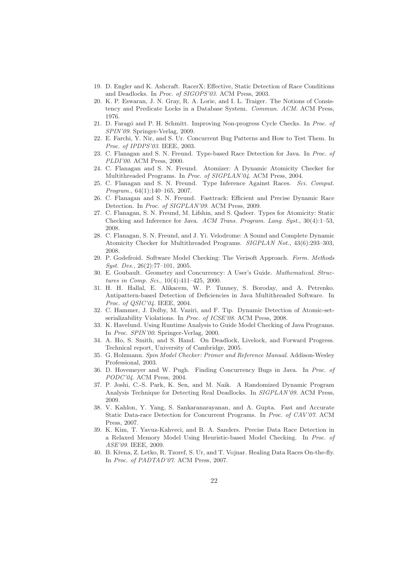- 19. D. Engler and K. Ashcraft. RacerX: Effective, Static Detection of Race Conditions and Deadlocks. In Proc. of SIGOPS'03. ACM Press, 2003.
- 20. K. P. Eswaran, J. N. Gray, R. A. Lorie, and I. L. Traiger. The Notions of Consistency and Predicate Locks in a Database System. Commun. ACM. ACM Press, 1976.
- 21. D. Faragó and P. H. Schmitt. Improving Non-progress Cycle Checks. In Proc. of SPIN'09. Springer-Verlag, 2009.
- 22. E. Farchi, Y. Nir, and S. Ur. Concurrent Bug Patterns and How to Test Them. In Proc. of IPDPS'03. IEEE, 2003.
- 23. C. Flanagan and S. N. Freund. Type-based Race Detection for Java. In Proc. of PLDI'00. ACM Press, 2000.
- 24. C. Flanagan and S. N. Freund. Atomizer: A Dynamic Atomicity Checker for Multithreaded Programs. In Proc. of SIGPLAN'04. ACM Press, 2004.
- 25. C. Flanagan and S. N. Freund. Type Inference Against Races. Sci. Comput. Program., 64(1):140–165, 2007.
- 26. C. Flanagan and S. N. Freund. Fasttrack: Efficient and Precise Dynamic Race Detection. In Proc. of SIGPLAN'09. ACM Press, 2009.
- 27. C. Flanagan, S. N. Freund, M. Lifshin, and S. Qadeer. Types for Atomicity: Static Checking and Inference for Java. ACM Trans. Program. Lang. Syst.,  $30(4):1-53$ , 2008.
- 28. C. Flanagan, S. N. Freund, and J. Yi. Velodrome: A Sound and Complete Dynamic Atomicity Checker for Multithreaded Programs. SIGPLAN Not., 43(6):293–303, 2008.
- 29. P. Godefroid. Software Model Checking: The Verisoft Approach. Form. Methods Syst. Des., 26(2):77–101, 2005.
- 30. E. Goubault. Geometry and Concurrency: A User's Guide. Mathematical. Structures in Comp. Sci., 10(4):411–425, 2000.
- 31. H. H. Hallal, E. Alikacem, W. P. Tunney, S. Boroday, and A. Petrenko. Antipattern-based Detection of Deficiencies in Java Multithreaded Software. In Proc. of QSIC'04. IEEE, 2004.
- 32. C. Hammer, J. Dolby, M. Vaziri, and F. Tip. Dynamic Detection of Atomic-setserializability Violations. In Proc. of ICSE'08. ACM Press, 2008.
- 33. K. Havelund. Using Runtime Analysis to Guide Model Checking of Java Programs. In Proc. SPIN'00. Springer-Verlag, 2000.
- 34. A. Ho, S. Smith, and S. Hand. On Deadlock, Livelock, and Forward Progress. Technical report, University of Cambridge, 2005.
- 35. G. Holzmann. Spin Model Checker: Primer and Reference Manual. Addison-Wesley Professional, 2003.
- 36. D. Hovemeyer and W. Pugh. Finding Concurrency Bugs in Java. In Proc. of PODC'04. ACM Press, 2004.
- 37. P. Joshi, C.-S. Park, K. Sen, and M. Naik. A Randomized Dynamic Program Analysis Technique for Detecting Real Deadlocks. In SIGPLAN'09. ACM Press, 2009.
- 38. V. Kahlon, Y. Yang, S. Sankaranarayanan, and A. Gupta. Fast and Accurate Static Data-race Detection for Concurrent Programs. In Proc. of CAV'07. ACM Press, 2007.
- 39. K. Kim, T. Yavuz-Kahveci, and B. A. Sanders. Precise Data Race Detection in a Relaxed Memory Model Using Heuristic-based Model Checking. In Proc. of ASE'09. IEEE, 2009.
- 40. B. Křena, Z. Letko, R. Tzoref, S. Ur, and T. Vojnar. Healing Data Races On-the-fly. In Proc. of PADTAD'07. ACM Press, 2007.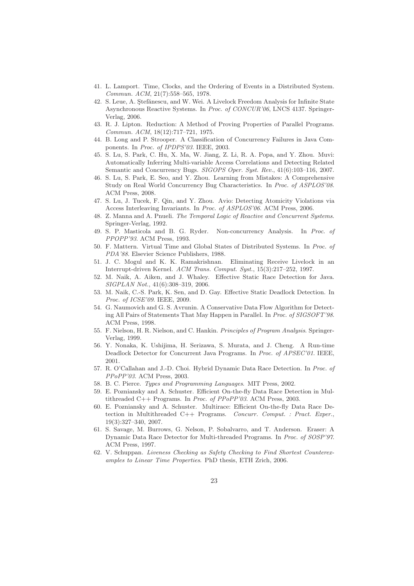- 41. L. Lamport. Time, Clocks, and the Ordering of Events in a Distributed System. Commun. ACM, 21(7):558–565, 1978.
- 42. S. Leue, A. Stefănescu, and W. Wei. A Livelock Freedom Analysis for Infinite State Asynchronous Reactive Systems. In Proc. of CONCUR'06, LNCS 4137. Springer-Verlag, 2006.
- 43. R. J. Lipton. Reduction: A Method of Proving Properties of Parallel Programs. Commun. ACM, 18(12):717–721, 1975.
- 44. B. Long and P. Strooper. A Classification of Concurrency Failures in Java Components. In Proc. of IPDPS'03. IEEE, 2003.
- 45. S. Lu, S. Park, C. Hu, X. Ma, W. Jiang, Z. Li, R. A. Popa, and Y. Zhou. Muvi: Automatically Inferring Multi-variable Access Correlations and Detecting Related Semantic and Concurrency Bugs. SIGOPS Oper. Syst. Rev., 41(6):103–116, 2007.
- 46. S. Lu, S. Park, E. Seo, and Y. Zhou. Learning from Mistakes: A Comprehensive Study on Real World Concurrency Bug Characteristics. In Proc. of ASPLOS'08. ACM Press, 2008.
- 47. S. Lu, J. Tucek, F. Qin, and Y. Zhou. Avio: Detecting Atomicity Violations via Access Interleaving Invariants. In Proc. of ASPLOS'06. ACM Press, 2006.
- 48. Z. Manna and A. Pnueli. The Temporal Logic of Reactive and Concurrent Systems. Springer-Verlag, 1992.
- 49. S. P. Masticola and B. G. Ryder. Non-concurrency Analysis. In Proc. of PPOPP'93. ACM Press, 1993.
- 50. F. Mattern. Virtual Time and Global States of Distributed Systems. In Proc. of PDA'88. Elsevier Science Publishers, 1988.
- 51. J. C. Mogul and K. K. Ramakrishnan. Eliminating Receive Livelock in an Interrupt-driven Kernel. ACM Trans. Comput. Syst., 15(3):217–252, 1997.
- 52. M. Naik, A. Aiken, and J. Whaley. Effective Static Race Detection for Java. SIGPLAN Not., 41(6):308–319, 2006.
- 53. M. Naik, C.-S. Park, K. Sen, and D. Gay. Effective Static Deadlock Detection. In Proc. of ICSE'09. IEEE, 2009.
- 54. G. Naumovich and G. S. Avrunin. A Conservative Data Flow Algorithm for Detecting All Pairs of Statements That May Happen in Parallel. In Proc. of SIGSOFT'98. ACM Press, 1998.
- 55. F. Nielson, H. R. Nielson, and C. Hankin. *Principles of Program Analysis*. Springer-Verlag, 1999.
- 56. Y. Nonaka, K. Ushijima, H. Serizawa, S. Murata, and J. Cheng. A Run-time Deadlock Detector for Concurrent Java Programs. In Proc. of APSEC'01. IEEE, 2001.
- 57. R. O'Callahan and J.-D. Choi. Hybrid Dynamic Data Race Detection. In Proc. of PPoPP'03. ACM Press, 2003.
- 58. B. C. Pierce. Types and Programming Languages. MIT Press, 2002.
- 59. E. Pozniansky and A. Schuster. Efficient On-the-fly Data Race Detection in Multithreaded C++ Programs. In Proc. of PPoPP'03. ACM Press, 2003.
- 60. E. Pozniansky and A. Schuster. Multirace: Efficient On-the-fly Data Race Detection in Multithreaded C++ Programs. Concurr. Comput. : Pract. Exper., 19(3):327–340, 2007.
- 61. S. Savage, M. Burrows, G. Nelson, P. Sobalvarro, and T. Anderson. Eraser: A Dynamic Data Race Detector for Multi-threaded Programs. In Proc. of SOSP'97. ACM Press, 1997.
- 62. V. Schuppan. Liveness Checking as Safety Checking to Find Shortest Counterexamples to Linear Time Properties. PhD thesis, ETH Zrich, 2006.